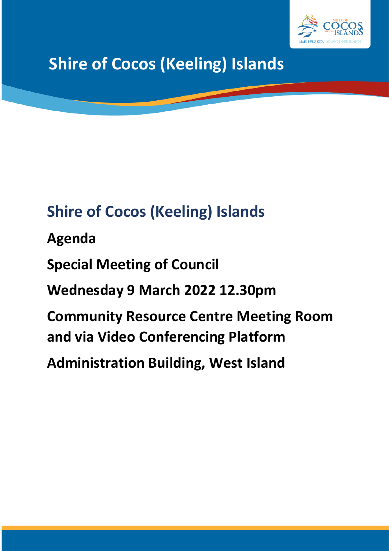

# **Shire of Cocos (Keeling) Islands**

## **Shire of Cocos (Keeling) Islands**

**Agenda**

**Special Meeting of Council**

**Wednesday 9 March 2022 12.30pm**

**Community Resource Centre Meeting Room and via Video Conferencing Platform**

**Administration Building, West Island**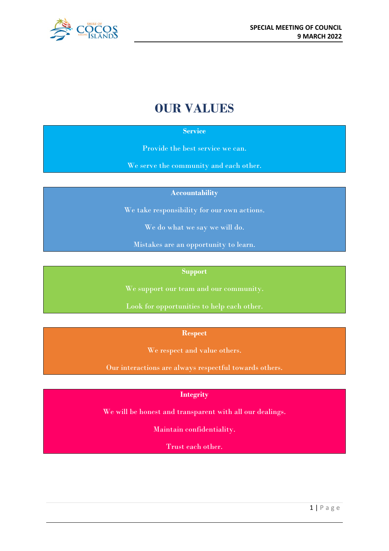

## **OUR VALUES**

#### **Service**

Provide the best service we can.

We serve the community and each other.

**Accountability**

We take responsibility for our own actions.

We do what we say we will do.

Mistakes are an opportunity to learn.

#### **Support**

We support our team and our community.

Look for opportunities to help each other.

**Respect**

We respect and value others.

Our interactions are always respectful towards others.

#### **Integrity**

We will be honest and transparent with all our dealings.

Maintain confidentiality.

Trust each other.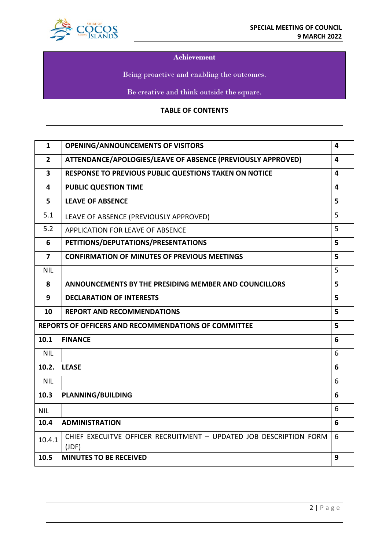

#### **Achievement**

Being proactive and enabling the outcomes.

Be creative and think outside the square.

#### **TABLE OF CONTENTS**

| $\mathbf{1}$                                                     | <b>OPENING/ANNOUNCEMENTS OF VISITORS</b>                                    | 4 |  |
|------------------------------------------------------------------|-----------------------------------------------------------------------------|---|--|
| $\overline{2}$                                                   | ATTENDANCE/APOLOGIES/LEAVE OF ABSENCE (PREVIOUSLY APPROVED)<br>4            |   |  |
| $\overline{\mathbf{3}}$                                          | RESPONSE TO PREVIOUS PUBLIC QUESTIONS TAKEN ON NOTICE<br>4                  |   |  |
| 4                                                                | <b>PUBLIC QUESTION TIME</b><br>4                                            |   |  |
| 5                                                                | <b>LEAVE OF ABSENCE</b><br>5                                                |   |  |
| 5.1                                                              | 5<br>LEAVE OF ABSENCE (PREVIOUSLY APPROVED)                                 |   |  |
| 5.2                                                              | 5<br><b>APPLICATION FOR LEAVE OF ABSENCE</b>                                |   |  |
| 6                                                                | PETITIONS/DEPUTATIONS/PRESENTATIONS<br>5                                    |   |  |
| 7                                                                | <b>CONFIRMATION OF MINUTES OF PREVIOUS MEETINGS</b>                         | 5 |  |
| <b>NIL</b>                                                       |                                                                             | 5 |  |
| 8                                                                | ANNOUNCEMENTS BY THE PRESIDING MEMBER AND COUNCILLORS<br>5                  |   |  |
| 9                                                                | <b>DECLARATION OF INTERESTS</b>                                             | 5 |  |
| 10                                                               | <b>REPORT AND RECOMMENDATIONS</b>                                           | 5 |  |
| 5<br><b>REPORTS OF OFFICERS AND RECOMMENDATIONS OF COMMITTEE</b> |                                                                             |   |  |
| 10.1                                                             | <b>FINANCE</b><br>6                                                         |   |  |
| <b>NIL</b>                                                       |                                                                             | 6 |  |
| 10.2.                                                            | <b>LEASE</b>                                                                | 6 |  |
| <b>NIL</b>                                                       |                                                                             | 6 |  |
| 10.3                                                             | <b>PLANNING/BUILDING</b>                                                    | 6 |  |
| <b>NIL</b>                                                       |                                                                             | 6 |  |
| 10.4                                                             | <b>ADMINISTRATION</b>                                                       | 6 |  |
| 10.4.1                                                           | CHIEF EXECUITVE OFFICER RECRUITMENT - UPDATED JOB DESCRIPTION FORM<br>(JDF) | 6 |  |
| 10.5                                                             | <b>MINUTES TO BE RECEIVED</b>                                               | 9 |  |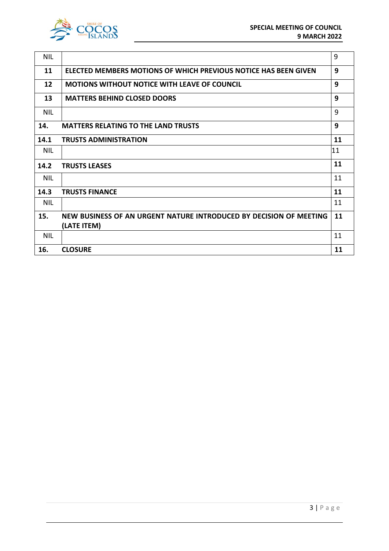

| <b>NIL</b>                                             |                                                                    | 9  |
|--------------------------------------------------------|--------------------------------------------------------------------|----|
| 11                                                     | ELECTED MEMBERS MOTIONS OF WHICH PREVIOUS NOTICE HAS BEEN GIVEN    | 9  |
| 12                                                     | <b>MOTIONS WITHOUT NOTICE WITH LEAVE OF COUNCIL</b>                | 9  |
| 13                                                     | <b>MATTERS BEHIND CLOSED DOORS</b>                                 | 9  |
| <b>NIL</b>                                             |                                                                    | 9  |
| 9<br><b>MATTERS RELATING TO THE LAND TRUSTS</b><br>14. |                                                                    |    |
| 14.1                                                   | <b>TRUSTS ADMINISTRATION</b>                                       | 11 |
| <b>NIL</b>                                             |                                                                    | 11 |
| 14.2                                                   | <b>TRUSTS LEASES</b>                                               | 11 |
| <b>NIL</b>                                             |                                                                    | 11 |
| 14.3                                                   | <b>TRUSTS FINANCE</b>                                              | 11 |
| <b>NIL</b>                                             |                                                                    | 11 |
| 15.                                                    | NEW BUSINESS OF AN URGENT NATURE INTRODUCED BY DECISION OF MEETING | 11 |
|                                                        | (LATE ITEM)                                                        |    |
| <b>NIL</b>                                             |                                                                    | 11 |
| 16.                                                    | <b>CLOSURE</b>                                                     | 11 |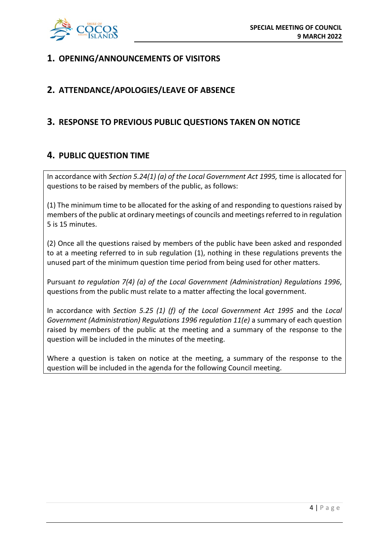

## **1. OPENING/ANNOUNCEMENTS OF VISITORS**

## **2. ATTENDANCE/APOLOGIES/LEAVE OF ABSENCE**

## **3. RESPONSE TO PREVIOUS PUBLIC QUESTIONS TAKEN ON NOTICE**

## **4. PUBLIC QUESTION TIME**

In accordance with *Section 5.24(1) (a) of the Local Government Act 1995,* time is allocated for questions to be raised by members of the public, as follows:

(1) The minimum time to be allocated for the asking of and responding to questions raised by members of the public at ordinary meetings of councils and meetings referred to in regulation 5 is 15 minutes.

(2) Once all the questions raised by members of the public have been asked and responded to at a meeting referred to in sub regulation (1), nothing in these regulations prevents the unused part of the minimum question time period from being used for other matters.

Pursuant *to regulation 7(4) (a) of the Local Government (Administration) Regulations 1996*, questions from the public must relate to a matter affecting the local government.

In accordance with *Section 5.25 (1) (f) of the Local Government Act 1995* and the *Local Government (Administration) Regulations 1996 regulation 11(e)* a summary of each question raised by members of the public at the meeting and a summary of the response to the question will be included in the minutes of the meeting.

Where a question is taken on notice at the meeting, a summary of the response to the question will be included in the agenda for the following Council meeting.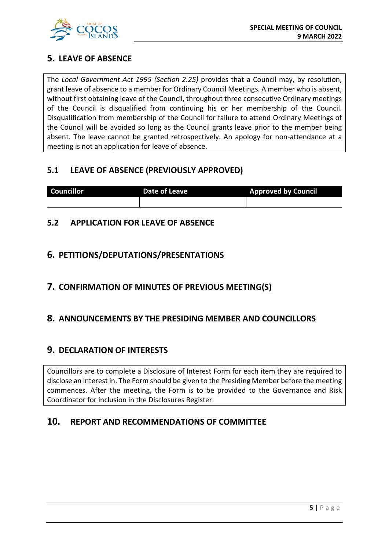

## **5. LEAVE OF ABSENCE**

The *Local Government Act 1995 (Section 2.25)* provides that a Council may, by resolution, grant leave of absence to a member for Ordinary Council Meetings. A member who is absent, without first obtaining leave of the Council, throughout three consecutive Ordinary meetings of the Council is disqualified from continuing his or her membership of the Council. Disqualification from membership of the Council for failure to attend Ordinary Meetings of the Council will be avoided so long as the Council grants leave prior to the member being absent. The leave cannot be granted retrospectively. An apology for non-attendance at a meeting is not an application for leave of absence.

## **5.1 LEAVE OF ABSENCE (PREVIOUSLY APPROVED)**

| <b>Councillor</b> | Date of Leave | <b>Approved by Council</b> |
|-------------------|---------------|----------------------------|
|                   |               |                            |

## **5.2 APPLICATION FOR LEAVE OF ABSENCE**

## **6. PETITIONS/DEPUTATIONS/PRESENTATIONS**

## **7. CONFIRMATION OF MINUTES OF PREVIOUS MEETING(S)**

## **8. ANNOUNCEMENTS BY THE PRESIDING MEMBER AND COUNCILLORS**

## **9. DECLARATION OF INTERESTS**

Councillors are to complete a Disclosure of Interest Form for each item they are required to disclose an interest in. The Form should be given to the Presiding Member before the meeting commences. After the meeting, the Form is to be provided to the Governance and Risk Coordinator for inclusion in the Disclosures Register.

## **10. REPORT AND RECOMMENDATIONS OF COMMITTEE**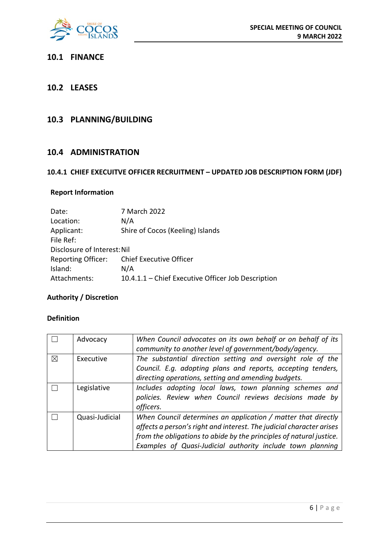

#### **10.1 FINANCE**

#### **10.2 LEASES**

## **10.3 PLANNING/BUILDING**

#### **10.4 ADMINISTRATION**

#### **10.4.1 CHIEF EXECUITVE OFFICER RECRUITMENT – UPDATED JOB DESCRIPTION FORM (JDF)**

#### **Report Information**

| Date:                       | 7 March 2022                                       |  |
|-----------------------------|----------------------------------------------------|--|
| Location:                   | N/A                                                |  |
| Applicant:                  | Shire of Cocos (Keeling) Islands                   |  |
| File Ref:                   |                                                    |  |
| Disclosure of Interest: Nil |                                                    |  |
| <b>Reporting Officer:</b>   | <b>Chief Executive Officer</b>                     |  |
| Island:                     | N/A                                                |  |
| Attachments:                | 10.4.1.1 - Chief Executive Officer Job Description |  |

### **Authority / Discretion**

#### **Definition**

|          | Advocacy       | When Council advocates on its own behalf or on behalf of its<br>community to another level of government/body/agency.                                                                                                                                                      |
|----------|----------------|----------------------------------------------------------------------------------------------------------------------------------------------------------------------------------------------------------------------------------------------------------------------------|
| $\times$ | Executive      | The substantial direction setting and oversight role of the<br>Council. E.g. adopting plans and reports, accepting tenders,<br>directing operations, setting and amending budgets.                                                                                         |
|          | Legislative    | Includes adopting local laws, town planning schemes and<br>policies. Review when Council reviews decisions made by<br>officers.                                                                                                                                            |
|          | Quasi-Judicial | When Council determines an application / matter that directly<br>affects a person's right and interest. The judicial character arises<br>from the obligations to abide by the principles of natural justice.<br>Examples of Quasi-Judicial authority include town planning |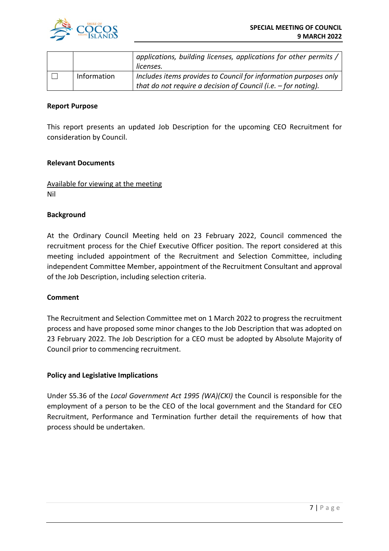

|             | applications, building licenses, applications for other permits /<br>licenses. |
|-------------|--------------------------------------------------------------------------------|
| Information | Includes items provides to Council for information purposes only               |
|             | that do not require a decision of Council (i.e. $-$ for noting).               |

#### **Report Purpose**

This report presents an updated Job Description for the upcoming CEO Recruitment for consideration by Council.

#### **Relevant Documents**

Available for viewing at the meeting Nil

#### **Background**

At the Ordinary Council Meeting held on 23 February 2022, Council commenced the recruitment process for the Chief Executive Officer position. The report considered at this meeting included appointment of the Recruitment and Selection Committee, including independent Committee Member, appointment of the Recruitment Consultant and approval of the Job Description, including selection criteria.

#### **Comment**

The Recruitment and Selection Committee met on 1 March 2022 to progress the recruitment process and have proposed some minor changes to the Job Description that was adopted on 23 February 2022. The Job Description for a CEO must be adopted by Absolute Majority of Council prior to commencing recruitment.

#### **Policy and Legislative Implications**

Under S5.36 of the *Local Government Act 1995 (WA)(CKI)* the Council is responsible for the employment of a person to be the CEO of the local government and the Standard for CEO Recruitment, Performance and Termination further detail the requirements of how that process should be undertaken.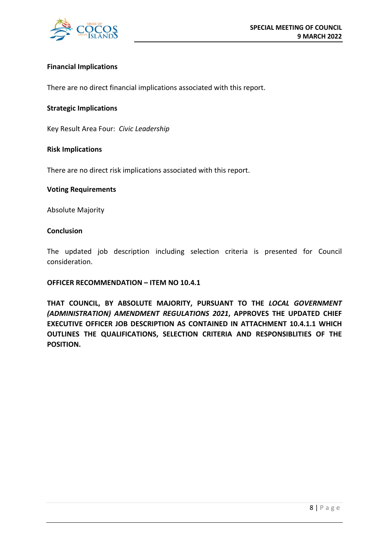

#### **Financial Implications**

There are no direct financial implications associated with this report.

#### **Strategic Implications**

Key Result Area Four: *Civic Leadership*

#### **Risk Implications**

There are no direct risk implications associated with this report.

#### **Voting Requirements**

Absolute Majority

#### **Conclusion**

The updated job description including selection criteria is presented for Council consideration.

#### **OFFICER RECOMMENDATION – ITEM NO 10.4.1**

**THAT COUNCIL, BY ABSOLUTE MAJORITY, PURSUANT TO THE** *LOCAL GOVERNMENT (ADMINISTRATION) AMENDMENT REGULATIONS 2021***, APPROVES THE UPDATED CHIEF EXECUTIVE OFFICER JOB DESCRIPTION AS CONTAINED IN ATTACHMENT 10.4.1.1 WHICH OUTLINES THE QUALIFICATIONS, SELECTION CRITERIA AND RESPONSIBLITIES OF THE POSITION.**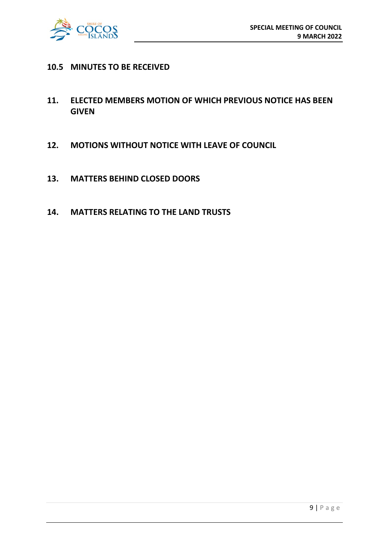

#### **10.5 MINUTES TO BE RECEIVED**

- **11. ELECTED MEMBERS MOTION OF WHICH PREVIOUS NOTICE HAS BEEN GIVEN**
- **12. MOTIONS WITHOUT NOTICE WITH LEAVE OF COUNCIL**
- **13. MATTERS BEHIND CLOSED DOORS**
- **14. MATTERS RELATING TO THE LAND TRUSTS**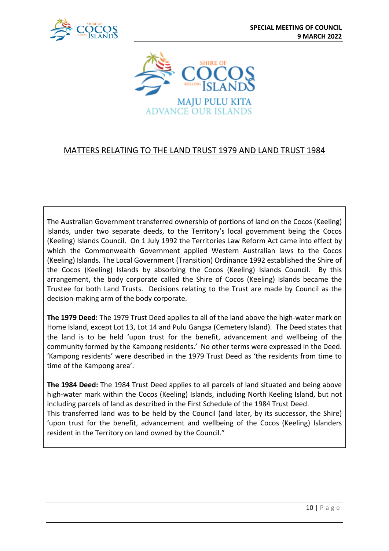



## MATTERS RELATING TO THE LAND TRUST 1979 AND LAND TRUST 1984

The Australian Government transferred ownership of portions of land on the Cocos (Keeling) Islands, under two separate deeds, to the Territory's local government being the Cocos (Keeling) Islands Council. On 1 July 1992 the Territories Law Reform Act came into effect by which the Commonwealth Government applied Western Australian laws to the Cocos (Keeling) Islands. The Local Government (Transition) Ordinance 1992 established the Shire of the Cocos (Keeling) Islands by absorbing the Cocos (Keeling) Islands Council. By this arrangement, the body corporate called the Shire of Cocos (Keeling) Islands became the Trustee for both Land Trusts. Decisions relating to the Trust are made by Council as the decision-making arm of the body corporate.

**The 1979 Deed:** The 1979 Trust Deed applies to all of the land above the high-water mark on Home Island, except Lot 13, Lot 14 and Pulu Gangsa (Cemetery Island). The Deed states that the land is to be held 'upon trust for the benefit, advancement and wellbeing of the community formed by the Kampong residents.' No other terms were expressed in the Deed. 'Kampong residents' were described in the 1979 Trust Deed as 'the residents from time to time of the Kampong area'.

**The 1984 Deed:** The 1984 Trust Deed applies to all parcels of land situated and being above high-water mark within the Cocos (Keeling) Islands, including North Keeling Island, but not including parcels of land as described in the First Schedule of the 1984 Trust Deed. This transferred land was to be held by the Council (and later, by its successor, the Shire)

'upon trust for the benefit, advancement and wellbeing of the Cocos (Keeling) Islanders resident in the Territory on land owned by the Council."